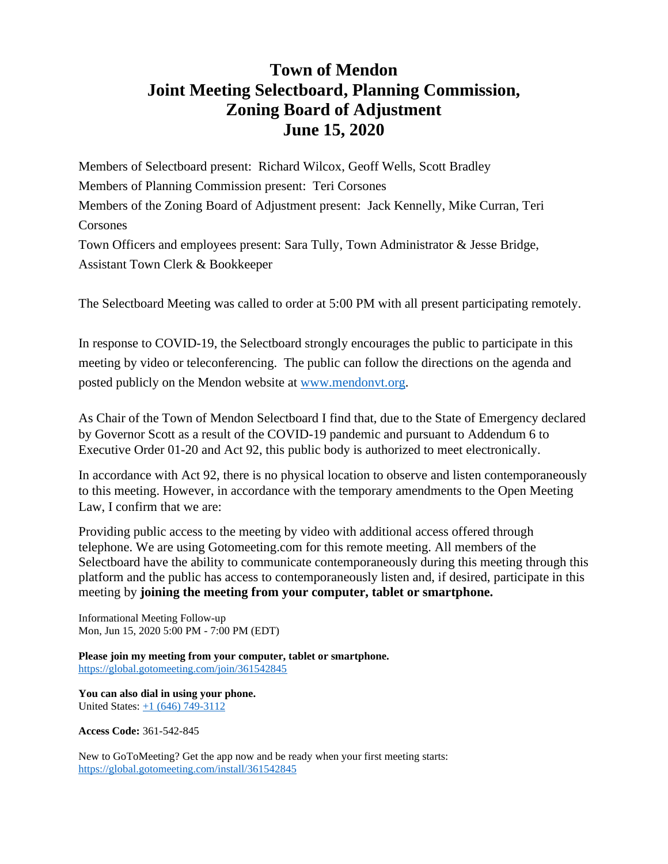## **Town of Mendon Joint Meeting Selectboard, Planning Commission, Zoning Board of Adjustment June 15, 2020**

Members of Selectboard present: Richard Wilcox, Geoff Wells, Scott Bradley Members of Planning Commission present: Teri Corsones Members of the Zoning Board of Adjustment present: Jack Kennelly, Mike Curran, Teri Corsones Town Officers and employees present: Sara Tully, Town Administrator & Jesse Bridge, Assistant Town Clerk & Bookkeeper

The Selectboard Meeting was called to order at 5:00 PM with all present participating remotely.

In response to COVID-19, the Selectboard strongly encourages the public to participate in this meeting by video or teleconferencing. The public can follow the directions on the agenda and posted publicly on the Mendon website at [www.mendonvt.org.](http://www.mendonvt.org/)

As Chair of the Town of Mendon Selectboard I find that, due to the State of Emergency declared by Governor Scott as a result of the COVID-19 pandemic and pursuant to Addendum 6 to Executive Order 01-20 and Act 92, this public body is authorized to meet electronically.

In accordance with Act 92, there is no physical location to observe and listen contemporaneously to this meeting. However, in accordance with the temporary amendments to the Open Meeting Law, I confirm that we are:

Providing public access to the meeting by video with additional access offered through telephone. We are using Gotomeeting.com for this remote meeting. All members of the Selectboard have the ability to communicate contemporaneously during this meeting through this platform and the public has access to contemporaneously listen and, if desired, participate in this meeting by **joining the meeting from your computer, tablet or smartphone.** 

Informational Meeting Follow-up Mon, Jun 15, 2020 5:00 PM - 7:00 PM (EDT)

**Please join my meeting from your computer, tablet or smartphone.**  <https://global.gotomeeting.com/join/361542845>

**You can also dial in using your phone.**  United States:  $\frac{+1(646)}{749-3112}$ 

**Access Code:** 361-542-845

New to GoToMeeting? Get the app now and be ready when your first meeting starts: <https://global.gotomeeting.com/install/361542845>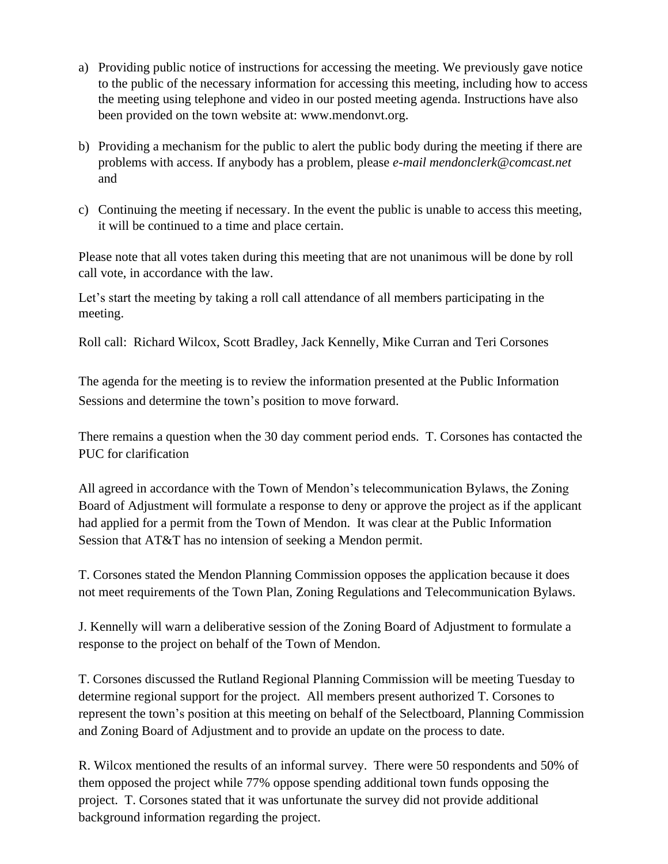- a) Providing public notice of instructions for accessing the meeting. We previously gave notice to the public of the necessary information for accessing this meeting, including how to access the meeting using telephone and video in our posted meeting agenda. Instructions have also been provided on the town website at: www.mendonvt.org.
- b) Providing a mechanism for the public to alert the public body during the meeting if there are problems with access. If anybody has a problem, please *e-mail mendonclerk@comcast.net* and
- c) Continuing the meeting if necessary. In the event the public is unable to access this meeting, it will be continued to a time and place certain.

Please note that all votes taken during this meeting that are not unanimous will be done by roll call vote, in accordance with the law.

Let's start the meeting by taking a roll call attendance of all members participating in the meeting.

Roll call: Richard Wilcox, Scott Bradley, Jack Kennelly, Mike Curran and Teri Corsones

The agenda for the meeting is to review the information presented at the Public Information Sessions and determine the town's position to move forward.

There remains a question when the 30 day comment period ends. T. Corsones has contacted the PUC for clarification

All agreed in accordance with the Town of Mendon's telecommunication Bylaws, the Zoning Board of Adjustment will formulate a response to deny or approve the project as if the applicant had applied for a permit from the Town of Mendon. It was clear at the Public Information Session that AT&T has no intension of seeking a Mendon permit.

T. Corsones stated the Mendon Planning Commission opposes the application because it does not meet requirements of the Town Plan, Zoning Regulations and Telecommunication Bylaws.

J. Kennelly will warn a deliberative session of the Zoning Board of Adjustment to formulate a response to the project on behalf of the Town of Mendon.

T. Corsones discussed the Rutland Regional Planning Commission will be meeting Tuesday to determine regional support for the project. All members present authorized T. Corsones to represent the town's position at this meeting on behalf of the Selectboard, Planning Commission and Zoning Board of Adjustment and to provide an update on the process to date.

R. Wilcox mentioned the results of an informal survey. There were 50 respondents and 50% of them opposed the project while 77% oppose spending additional town funds opposing the project. T. Corsones stated that it was unfortunate the survey did not provide additional background information regarding the project.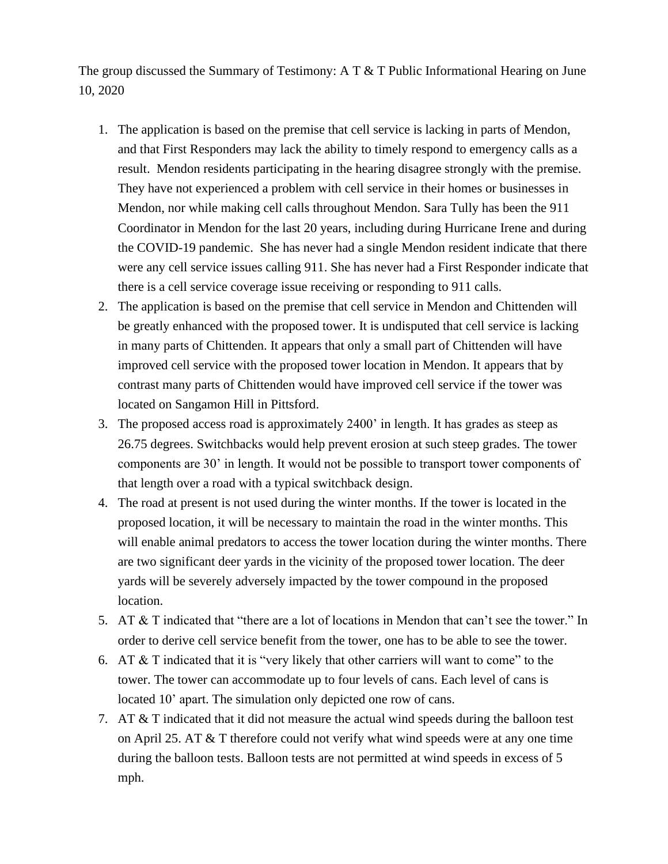The group discussed the Summary of Testimony: A T & T Public Informational Hearing on June 10, 2020

- 1. The application is based on the premise that cell service is lacking in parts of Mendon, and that First Responders may lack the ability to timely respond to emergency calls as a result. Mendon residents participating in the hearing disagree strongly with the premise. They have not experienced a problem with cell service in their homes or businesses in Mendon, nor while making cell calls throughout Mendon. Sara Tully has been the 911 Coordinator in Mendon for the last 20 years, including during Hurricane Irene and during the COVID-19 pandemic. She has never had a single Mendon resident indicate that there were any cell service issues calling 911. She has never had a First Responder indicate that there is a cell service coverage issue receiving or responding to 911 calls.
- 2. The application is based on the premise that cell service in Mendon and Chittenden will be greatly enhanced with the proposed tower. It is undisputed that cell service is lacking in many parts of Chittenden. It appears that only a small part of Chittenden will have improved cell service with the proposed tower location in Mendon. It appears that by contrast many parts of Chittenden would have improved cell service if the tower was located on Sangamon Hill in Pittsford.
- 3. The proposed access road is approximately 2400' in length. It has grades as steep as 26.75 degrees. Switchbacks would help prevent erosion at such steep grades. The tower components are 30' in length. It would not be possible to transport tower components of that length over a road with a typical switchback design.
- 4. The road at present is not used during the winter months. If the tower is located in the proposed location, it will be necessary to maintain the road in the winter months. This will enable animal predators to access the tower location during the winter months. There are two significant deer yards in the vicinity of the proposed tower location. The deer yards will be severely adversely impacted by the tower compound in the proposed location.
- 5. AT & T indicated that "there are a lot of locations in Mendon that can't see the tower." In order to derive cell service benefit from the tower, one has to be able to see the tower.
- 6. AT  $&$  T indicated that it is "very likely that other carriers will want to come" to the tower. The tower can accommodate up to four levels of cans. Each level of cans is located 10' apart. The simulation only depicted one row of cans.
- 7. AT & T indicated that it did not measure the actual wind speeds during the balloon test on April 25. AT & T therefore could not verify what wind speeds were at any one time during the balloon tests. Balloon tests are not permitted at wind speeds in excess of 5 mph.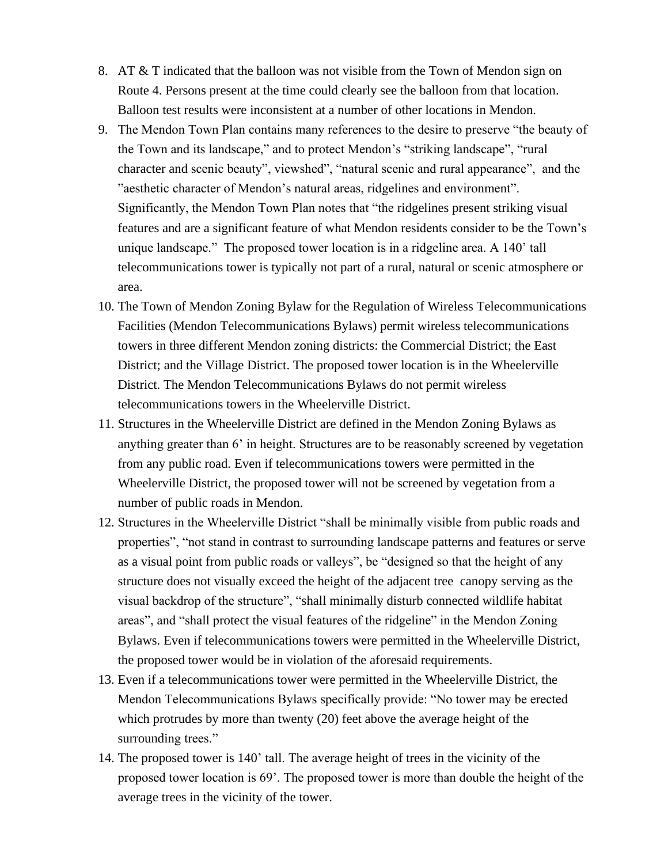- 8. AT & T indicated that the balloon was not visible from the Town of Mendon sign on Route 4. Persons present at the time could clearly see the balloon from that location. Balloon test results were inconsistent at a number of other locations in Mendon.
- 9. The Mendon Town Plan contains many references to the desire to preserve "the beauty of the Town and its landscape," and to protect Mendon's "striking landscape", "rural character and scenic beauty", viewshed", "natural scenic and rural appearance", and the "aesthetic character of Mendon's natural areas, ridgelines and environment". Significantly, the Mendon Town Plan notes that "the ridgelines present striking visual features and are a significant feature of what Mendon residents consider to be the Town's unique landscape." The proposed tower location is in a ridgeline area. A 140' tall telecommunications tower is typically not part of a rural, natural or scenic atmosphere or area.
- 10. The Town of Mendon Zoning Bylaw for the Regulation of Wireless Telecommunications Facilities (Mendon Telecommunications Bylaws) permit wireless telecommunications towers in three different Mendon zoning districts: the Commercial District; the East District; and the Village District. The proposed tower location is in the Wheelerville District. The Mendon Telecommunications Bylaws do not permit wireless telecommunications towers in the Wheelerville District.
- 11. Structures in the Wheelerville District are defined in the Mendon Zoning Bylaws as anything greater than 6' in height. Structures are to be reasonably screened by vegetation from any public road. Even if telecommunications towers were permitted in the Wheelerville District, the proposed tower will not be screened by vegetation from a number of public roads in Mendon.
- 12. Structures in the Wheelerville District "shall be minimally visible from public roads and properties", "not stand in contrast to surrounding landscape patterns and features or serve as a visual point from public roads or valleys", be "designed so that the height of any structure does not visually exceed the height of the adjacent tree canopy serving as the visual backdrop of the structure", "shall minimally disturb connected wildlife habitat areas", and "shall protect the visual features of the ridgeline" in the Mendon Zoning Bylaws. Even if telecommunications towers were permitted in the Wheelerville District, the proposed tower would be in violation of the aforesaid requirements.
- 13. Even if a telecommunications tower were permitted in the Wheelerville District, the Mendon Telecommunications Bylaws specifically provide: "No tower may be erected which protrudes by more than twenty (20) feet above the average height of the surrounding trees."
- 14. The proposed tower is 140' tall. The average height of trees in the vicinity of the proposed tower location is 69'. The proposed tower is more than double the height of the average trees in the vicinity of the tower.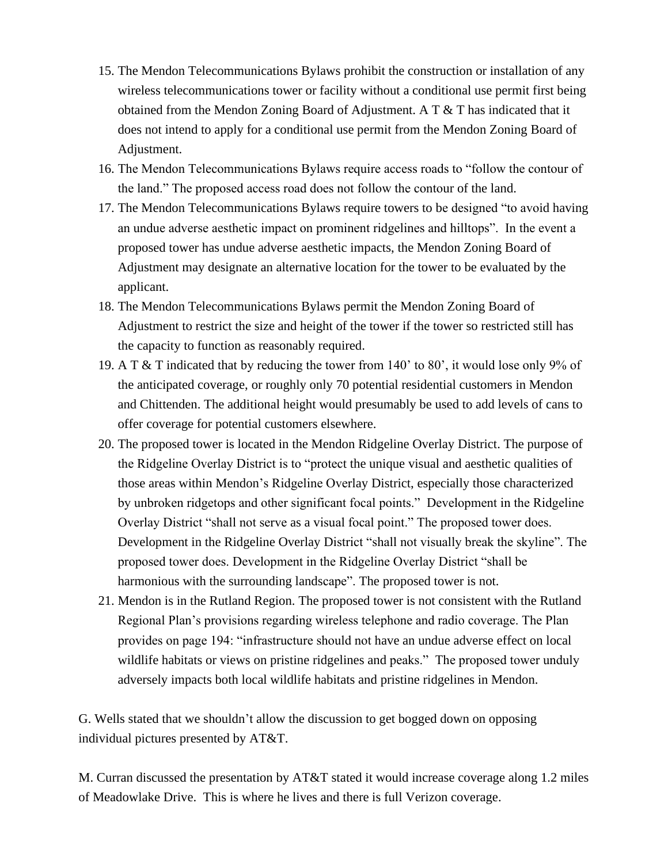- 15. The Mendon Telecommunications Bylaws prohibit the construction or installation of any wireless telecommunications tower or facility without a conditional use permit first being obtained from the Mendon Zoning Board of Adjustment. A  $T \& T$  has indicated that it does not intend to apply for a conditional use permit from the Mendon Zoning Board of Adjustment.
- 16. The Mendon Telecommunications Bylaws require access roads to "follow the contour of the land." The proposed access road does not follow the contour of the land.
- 17. The Mendon Telecommunications Bylaws require towers to be designed "to avoid having an undue adverse aesthetic impact on prominent ridgelines and hilltops". In the event a proposed tower has undue adverse aesthetic impacts, the Mendon Zoning Board of Adjustment may designate an alternative location for the tower to be evaluated by the applicant.
- 18. The Mendon Telecommunications Bylaws permit the Mendon Zoning Board of Adjustment to restrict the size and height of the tower if the tower so restricted still has the capacity to function as reasonably required.
- 19. A T & T indicated that by reducing the tower from 140' to 80', it would lose only 9% of the anticipated coverage, or roughly only 70 potential residential customers in Mendon and Chittenden. The additional height would presumably be used to add levels of cans to offer coverage for potential customers elsewhere.
- 20. The proposed tower is located in the Mendon Ridgeline Overlay District. The purpose of the Ridgeline Overlay District is to "protect the unique visual and aesthetic qualities of those areas within Mendon's Ridgeline Overlay District, especially those characterized by unbroken ridgetops and other significant focal points." Development in the Ridgeline Overlay District "shall not serve as a visual focal point." The proposed tower does. Development in the Ridgeline Overlay District "shall not visually break the skyline". The proposed tower does. Development in the Ridgeline Overlay District "shall be harmonious with the surrounding landscape". The proposed tower is not.
- 21. Mendon is in the Rutland Region. The proposed tower is not consistent with the Rutland Regional Plan's provisions regarding wireless telephone and radio coverage. The Plan provides on page 194: "infrastructure should not have an undue adverse effect on local wildlife habitats or views on pristine ridgelines and peaks." The proposed tower unduly adversely impacts both local wildlife habitats and pristine ridgelines in Mendon.

G. Wells stated that we shouldn't allow the discussion to get bogged down on opposing individual pictures presented by AT&T.

M. Curran discussed the presentation by AT&T stated it would increase coverage along 1.2 miles of Meadowlake Drive. This is where he lives and there is full Verizon coverage.